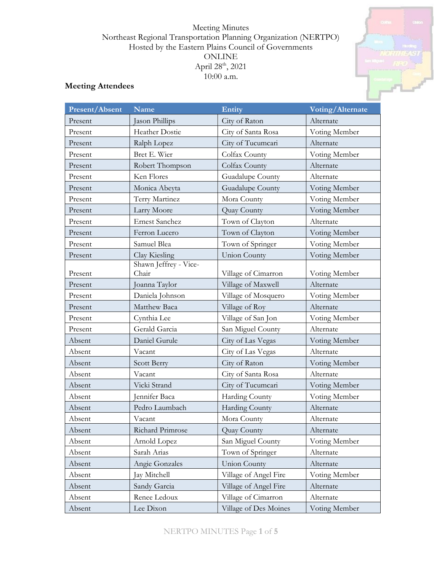## Meeting Minutes Northeast Regional Transportation Planning Organization (NERTPO) Hosted by the Eastern Plains Council of Governments ONLINE April 28<sup>th</sup>, 2021 10:00 a.m.



| Present/Absent | Name                           | Entity                | Voting/Alternate |  |
|----------------|--------------------------------|-----------------------|------------------|--|
| Present        | Jason Phillips                 | City of Raton         | Alternate        |  |
| Present        | Heather Dostie                 | City of Santa Rosa    | Voting Member    |  |
| Present        | Ralph Lopez                    | City of Tucumcari     | Alternate        |  |
| Present        | Bret E. Wier                   | Colfax County         | Voting Member    |  |
| Present        | Robert Thompson                | Colfax County         | Alternate        |  |
| Present        | Ken Flores                     | Guadalupe County      | Alternate        |  |
| Present        | Monica Abeyta                  | Guadalupe County      | Voting Member    |  |
| Present        | Terry Martinez                 | Mora County           | Voting Member    |  |
| Present        | Larry Moore                    | Quay County           | Voting Member    |  |
| Present        | <b>Ernest Sanchez</b>          | Town of Clayton       | Alternate        |  |
| Present        | Ferron Lucero                  | Town of Clayton       | Voting Member    |  |
| Present        | Samuel Blea                    | Town of Springer      | Voting Member    |  |
| Present        | Clay Kiesling                  | <b>Union County</b>   | Voting Member    |  |
| Present        | Shawn Jeffrey - Vice-<br>Chair | Village of Cimarron   | Voting Member    |  |
| Present        | Joanna Taylor                  | Village of Maxwell    | Alternate        |  |
| Present        | Daniela Johnson                | Village of Mosquero   | Voting Member    |  |
| Present        | Matthew Baca                   | Village of Roy        | Alternate        |  |
| Present        | Cynthia Lee                    | Village of San Jon    | Voting Member    |  |
| Present        | Gerald Garcia                  | San Miguel County     | Alternate        |  |
| Absent         | Daniel Gurule                  | City of Las Vegas     | Voting Member    |  |
| Absent         | Vacant                         | City of Las Vegas     | Alternate        |  |
| Absent         | <b>Scott Berry</b>             | City of Raton         | Voting Member    |  |
| Absent         | Vacant                         | City of Santa Rosa    | Alternate        |  |
| Absent         | Vicki Strand                   | City of Tucumcari     | Voting Member    |  |
| Absent         | Jennifer Baca                  | Harding County        | Voting Member    |  |
| Absent         | Pedro Laumbach                 | <b>Harding County</b> | Alternate        |  |
| Absent         | Vacant                         | Mora County           | Alternate        |  |
| Absent         | Richard Primrose               | Quay County           | Alternate        |  |
| Absent         | Arnold Lopez                   | San Miguel County     | Voting Member    |  |
| Absent         | Sarah Arias                    | Town of Springer      | Alternate        |  |
| Absent         | Angie Gonzales                 | <b>Union County</b>   | Alternate        |  |
| Absent         | Jay Mitchell                   | Village of Angel Fire | Voting Member    |  |
| Absent         | Sandy Garcia                   | Village of Angel Fire | Alternate        |  |
| Absent         | Renee Ledoux                   | Village of Cimarron   | Alternate        |  |
| Absent         | Lee Dixon                      | Village of Des Moines | Voting Member    |  |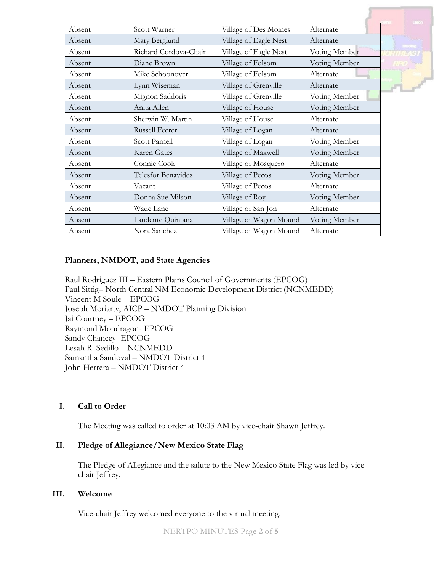|        |                       |                        |               | <b>Linken</b> |
|--------|-----------------------|------------------------|---------------|---------------|
| Absent | Scott Warner          | Village of Des Moines  | Alternate     |               |
| Absent | Mary Berglund         | Village of Eagle Nest  | Alternate     | Harding       |
| Absent | Richard Cordova-Chair | Village of Eagle Nest  | Voting Member |               |
| Absent | Diane Brown           | Village of Folsom      | Voting Member |               |
| Absent | Mike Schoonover       | Village of Folsom      | Alternate     |               |
| Absent | Lynn Wiseman          | Village of Grenville   | Alternate     |               |
| Absent | Mignon Saddoris       | Village of Grenville   | Voting Member |               |
| Absent | Anita Allen           | Village of House       | Voting Member |               |
| Absent | Sherwin W. Martin     | Village of House       | Alternate     |               |
| Absent | Russell Feerer        | Village of Logan       | Alternate     |               |
| Absent | Scott Parnell         | Village of Logan       | Voting Member |               |
| Absent | Karen Gates           | Village of Maxwell     | Voting Member |               |
| Absent | Connie Cook           | Village of Mosquero    | Alternate     |               |
| Absent | Telesfor Benavidez    | Village of Pecos       | Voting Member |               |
| Absent | Vacant                | Village of Pecos       | Alternate     |               |
| Absent | Donna Sue Milson      | Village of Roy         | Voting Member |               |
| Absent | Wade Lane             | Village of San Jon     | Alternate     |               |
| Absent | Laudente Quintana     | Village of Wagon Mound | Voting Member |               |
| Absent | Nora Sanchez          | Village of Wagon Mound | Alternate     |               |

### **Planners, NMDOT, and State Agencies**

Raul Rodriguez III – Eastern Plains Council of Governments (EPCOG) Paul Sittig– North Central NM Economic Development District (NCNMEDD) Vincent M Soule – EPCOG Joseph Moriarty, AICP – NMDOT Planning Division Jai Courtney – EPCOG Raymond Mondragon- EPCOG Sandy Chancey- EPCOG Lesah R. Sedillo – NCNMEDD Samantha Sandoval – NMDOT District 4 John Herrera – NMDOT District 4

#### **I. Call to Order**

The Meeting was called to order at 10:03 AM by vice-chair Shawn Jeffrey.

# **II. Pledge of Allegiance/New Mexico State Flag**

The Pledge of Allegiance and the salute to the New Mexico State Flag was led by vicechair Jeffrey.

#### **III. Welcome**

Vice-chair Jeffrey welcomed everyone to the virtual meeting.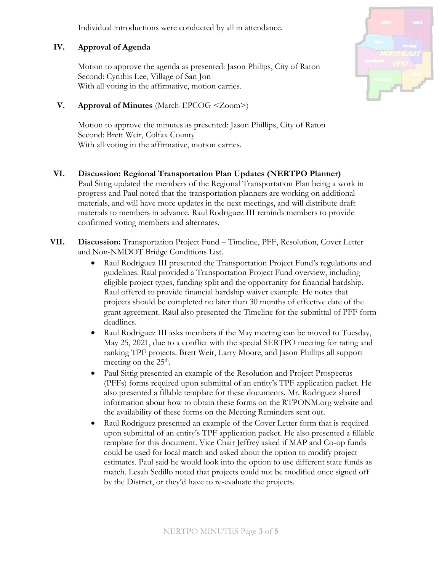Individual introductions were conducted by all in attendance.

# **IV. Approval of Agenda**

Motion to approve the agenda as presented: Jason Philips, City of Raton Second: Cynthis Lee, Village of San Jon With all voting in the affirmative, motion carries.

## **V. Approval of Minutes** (March-EPCOG <Zoom>)

Motion to approve the minutes as presented: Jason Phillips, City of Raton Second: Brett Weir, Colfax County With all voting in the affirmative, motion carries.

- **VI. Discussion: Regional Transportation Plan Updates (NERTPO Planner)** Paul Sittig updated the members of the Regional Transportation Plan being a work in progress and Paul noted that the transportation planners are working on additional materials, and will have more updates in the next meetings, and will distribute draft materials to members in advance. Raul Rodriguez III reminds members to provide confirmed voting members and alternates.
- **VII. Discussion:** Transportation Project Fund Timeline, PFF, Resolution, Cover Letter and Non-NMDOT Bridge Conditions List.
	- Raul Rodriguez III presented the Transportation Project Fund's regulations and guidelines. Raul provided a Transportation Project Fund overview, including eligible project types, funding split and the opportunity for financial hardship. Raul offered to provide financial hardship waiver example. He notes that projects should be completed no later than 30 months of effective date of the grant agreement. Raul also presented the Timeline for the submittal of PFF form deadlines.
	- Raul Rodriguez III asks members if the May meeting can be moved to Tuesday, May 25, 2021, due to a conflict with the special SERTPO meeting for rating and ranking TPF projects. Brett Weir, Larry Moore, and Jason Phillips all support meeting on the  $25<sup>th</sup>$ .
	- Paul Sittig presented an example of the Resolution and Project Prospectus (PFFs) forms required upon submittal of an entity's TPF application packet. He also presented a fillable template for these documents. Mr. Rodriguez shared information about how to obtain these forms on the RTPONM.org website and the availability of these forms on the Meeting Reminders sent out.
	- Raul Rodriguez presented an example of the Cover Letter form that is required upon submittal of an entity's TPF application packet. He also presented a fillable template for this document. Vice Chair Jeffrey asked if MAP and Co-op funds could be used for local match and asked about the option to modify project estimates. Paul said he would look into the option to use different state funds as match. Lesah Sedillo noted that projects could not be modified once signed off by the District, or they'd have to re-evaluate the projects.

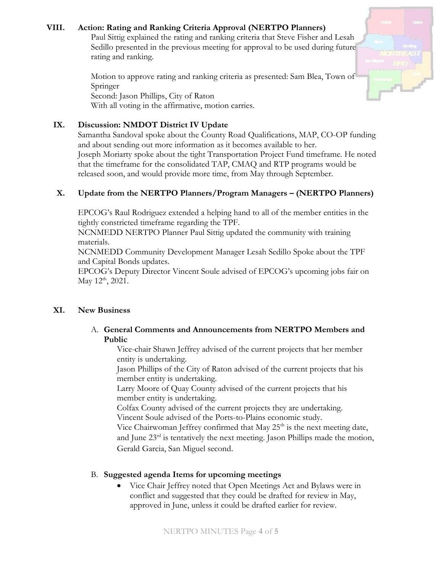# **VIII. Action: Rating and Ranking Criteria Approval (NERTPO Planners)**

Paul Sittig explained the rating and ranking criteria that Steve Fisher and Lesah Sedillo presented in the previous meeting for approval to be used during future rating and ranking.

Motion to approve rating and ranking criteria as presented: Sam Blea, Town of Springer Second: Jason Phillips, City of Raton With all voting in the affirmative, motion carries.

## **IX. Discussion: NMDOT District IV Update**

Samantha Sandoval spoke about the County Road Qualifications, MAP, CO-OP funding and about sending out more information as it becomes available to her. Joseph Moriarty spoke about the tight Transportation Project Fund timeframe. He noted that the timeframe for the consolidated TAP, CMAQ and RTP programs would be released soon, and would provide more time, from May through September.

## **X. Update from the NERTPO Planners/Program Managers – (NERTPO Planners)**

EPCOG's Raul Rodriguez extended a helping hand to all of the member entities in the tightly constricted timeframe regarding the TPF.

NCNMEDD NERTPO Planner Paul Sittig updated the community with training materials.

NCNMEDD Community Development Manager Lesah Sedillo Spoke about the TPF and Capital Bonds updates.

EPCOG's Deputy Director Vincent Soule advised of EPCOG's upcoming jobs fair on May  $12^{th}$ , 2021.

### **XI. New Business**

A. **General Comments and Announcements from NERTPO Members and Public**

Vice-chair Shawn Jeffrey advised of the current projects that her member entity is undertaking.

Jason Phillips of the City of Raton advised of the current projects that his member entity is undertaking.

Larry Moore of Quay County advised of the current projects that his member entity is undertaking.

Colfax County advised of the current projects they are undertaking. Vincent Soule advised of the Ports-to-Plains economic study.

Vice Chairwoman Jeffrey confirmed that May  $25<sup>th</sup>$  is the next meeting date, and June  $23<sup>rd</sup>$  is tentatively the next meeting. Jason Phillips made the motion, Gerald Garcia, San Miguel second.

### B. **Suggested agenda Items for upcoming meetings**

 Vice Chair Jeffrey noted that Open Meetings Act and Bylaws were in conflict and suggested that they could be drafted for review in May, approved in June, unless it could be drafted earlier for review.